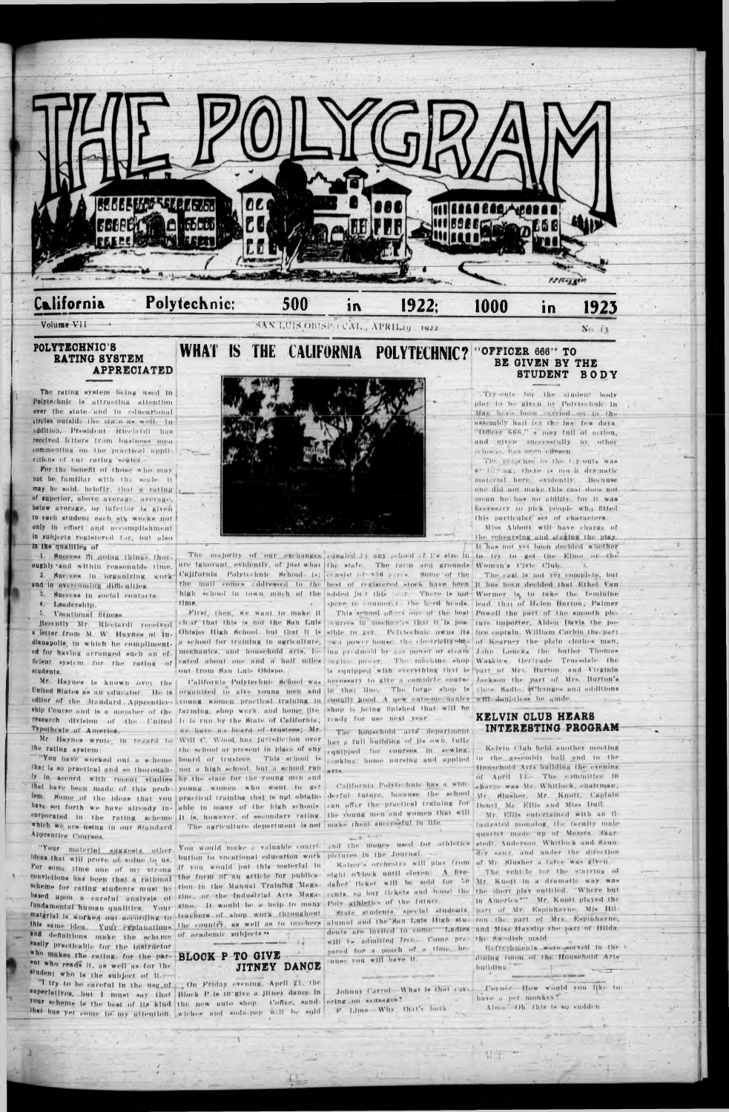

#### Polytechnic: California 500  $1922:$ 1000  $\overline{\mathbf{1}}$ in

#### Volume VII

### SAN LUIS OBISPO CAL., APRILAQ. 1922

### No. 13

#### POLYTECHNIC'S RATING SYSTEM **APPRECIATED**

The rating system-being used in Polytechnic in attracting attention over the state and in educational circles outside the state as well. In addition, President Riccinvil has received letters from business mencommenting on the practical applieitions of tur rating sesion.

For the benefit of those who may not be familiar with the scale. It may be mold, briefly, that a rating of superior, above average, average, below average, or inferior is given to each atudent each six weeks not only in effort and accomplishment in subjects registered for, but also in the qualifies of

1. Success M going things thoroughly and within reasonable time.

and in overcoming difficulties.

Success in gocial contacts. 4. Lendership.

5. Vocational fitness.

ed for having arranged such an efstudents.

the rating system:

that is so practical and so thorough- not a high school. but a school run serie. ly in accord with recent studies by the state for the young men and



time.

out from San Luis Obispo

editor of the Manidard Apprentice- young women practical training in countly good. A new auto-me wanter with doubtiess be amde. ship Course and is a member of the farming, shop work, and home fite, shop is being finished that will be research division of the United It is run by the State of California; ready for use next year.

Mr. Haynes wrote, in rezard to Will C. Wood, has jurisdiction over has a full building of its own, fully the school at present in place of any equipped for courses in sewing.

lem. Some of the ideas that you practical training that is not obtain- derful future, because the school Mr. Sincher, Mr. Knott, Capiain have set forth we have already in- able in many of the bigh schools, can offer the practical training for Deucl. Mr. Ellis and Miss Duff. corporated in the rating scheme it is, however, of secondary rating, the young men and women that will - Mr. Ellis entertained with an ilwhich we are using in our Standard The agriculture department is not make them successful in life. lustrated monolog, the faculty male  $\overline{C}$  for  $\overline{C}$ quartet made up of Messra Skar-Apprentice Courses "Your material suggests other You would make a valuable contri- and the maney used for athletics stedt Anderson Whitlock and Saunder sanz, and under the direction ldens that will prove of value to us. button to vocationsl education work pletures in the Journal For some time one of my strong af you would put this material in Kaiser's orchestra will play from of Mr. Simber a farce was given convictions link been that a rational the form of an article for publics- eight of leck until elevent. A five The vehicle for the starring of scheme for rating students must be tion in the Manual Training Maga- dance ticket will be sold for 50 Mr. Knott in a dramatic way was based upon a careful analysis of zine, or the industrial Arts Maga- cents, so buy tickets and hood the the short play entitled. "Where but in America?" Mr. Knott played the fundamental human qualities. Your sine. It would be a help to many Poly athletics of the future. matgrial in worked out secondisk to teachers of shop work throughout. State students, special students, part of Mr. Espinhavne, Mis Hilthis same idea. Your explanations the country, as well as to teachers alumnt and the San Luis High stu- ton the part of Mrs. Espiphayne, dents are invited to come. Ladies and Miss Hayshp the part of Hilds. and definitions make the scheme of academic subjects." will be admitted free. Come pre- the Swedish maid. essily practicable for the instructor Refrediments wave general in the pared for a peach of a time, hewho makes the rating, for the par- BLOOK P TO GIVE dining room of the Household Arts: cause you will have it. ent who reads it, as well as for the **JITNEY DANCE** buffdfng.

The majority of our exchanges equated is any refierd if the size in to try to get the Elmo of the are ignorant, evidently, of just what the state. The farm and grounds Woman's Civic Club. 2. Success in organizing work California Polytechnic School- is: consist or 936 agres. Some of the The cast is not yet complete, but the mall comes addressed to the best of registered stock have been it has been decided that Ethel Van high school in town much of the added in t this care. There is not Wormer by to take the feminine c space to channer to the herd heads, lead, that of Helen Burton; Palmer

Typotheste of America. The have no beard of trustees; Mr. The household arts department INTERESTING PROGRAM

that have been made of this prob- young women who want to get - California Polytechnic has a won- charge was Mr. Whitlock, charman;

### WHAT IS THE CALIFORNIA POLYTECHNIC? "OFFICER 666" TO BE GIVEN BY THE **STUDENT BODY**

Try-outs for the student body play to be given by Polytechnic in May have been carried on the the assembly half for the last few days. "Officer 666," a piny full of action, and given successfully by other cchock, has peer cleaner.

The respense to the ty-outs was ge the lag; there is much dramatic material here, evidently. Because one did not make this cast does not mean he has no ability, for it was necessary to pick people wha fitted. this particular set of characters.

Miss Abbott will have charge of the rehearding and staking the play. It has not yet hear decided whether

First, then, we want to make it . This school offers one of the best Powell the part of the smooth ple-Recently Mr. Ricciardi received clear that this is not the San Luis courses in mechanics that it is post ture importer. Alden Davis the poletter from M. W. Haynes of In- Obisho High School, but that it is sible to get. Pelvischule owns its hee captain, William Corbin the part dhampolis, in which he compliment. A school for training in agriculture, we power house, the clearifity of Kearney the plain clothes man, mechanics, and household arts, los ing produced by sos power or steam John Loucks. the butler. Thomas ficient system for the rating of cated about one and a half miles extine power. The machine shop Waskies, Gertrude Truesdale the Is equipped with everything that is part of Mrs. Burton, and Virginia Mr. Haynes is known over the | California Polytechnic School-was necessary to give a complete course Jackson the part of Mrs. Burton's United States as an educator. He is organized to give young men and in that line. The forge shop is since, Sadie ethnoges and additions

# KELVIN CLUB HEARS

Kelvin Club held another meeting "You have worked out a scheme board of trustees. This school is enoking, home nursing and applied in the gesembly hall and in the Household Arts building the evening of April 11- The committee in

student who is the subject of it.

"I try to be careful in the use of On Friday evening, April 21. the superlatives, but I must say that Block P is to give a litney dance in your scheme is the best of its kind the new auto shop. Cofise, sand ering on sameware? that has yet come to my attention. wickes and soda-pop will be said

F. Lima -Why, that's bark

Johnny Carrol. What is that case Coyner. How would you like to have a per monkey? Alma. Oh, this is so sudden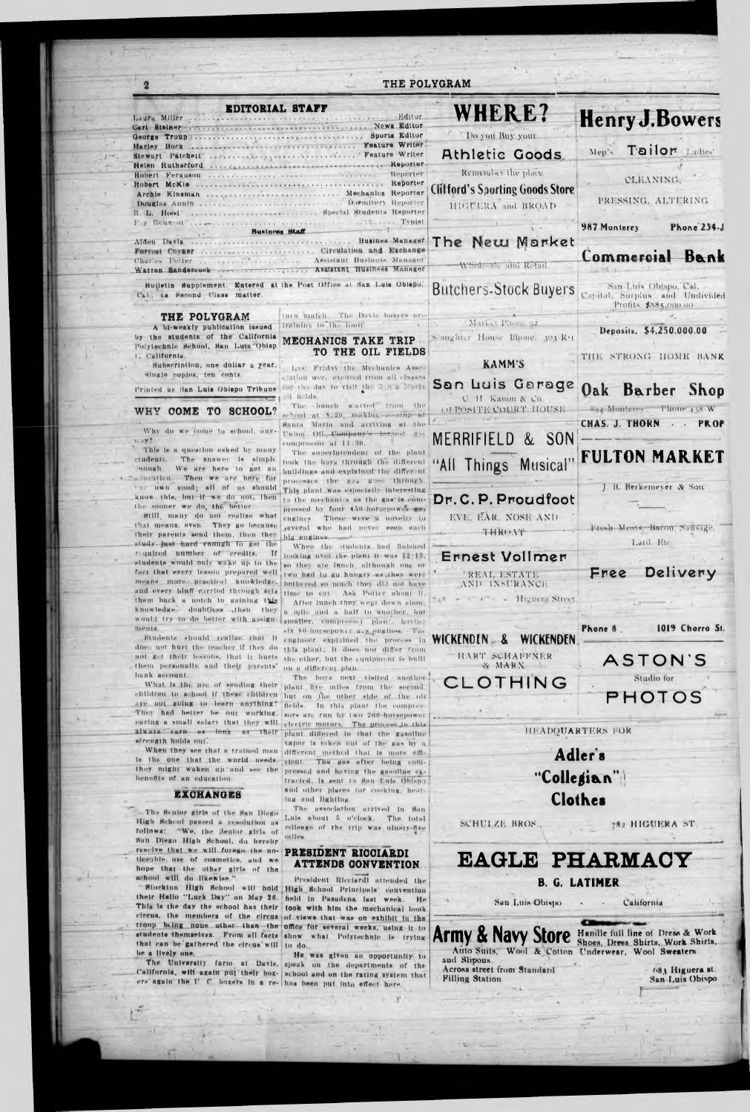|                                                                                                                                                              | THE POLYGRAM                                                                                                                                                                                |                                                                                   |                                                                                    |  |
|--------------------------------------------------------------------------------------------------------------------------------------------------------------|---------------------------------------------------------------------------------------------------------------------------------------------------------------------------------------------|-----------------------------------------------------------------------------------|------------------------------------------------------------------------------------|--|
| <b>EDITORIAL STAFF</b><br>Laura Miller                                                                                                                       |                                                                                                                                                                                             | <b>WHERE?</b>                                                                     | <b>Henry J. Bowers</b>                                                             |  |
|                                                                                                                                                              |                                                                                                                                                                                             | Do you Buy your<br>Athletic Goods                                                 | Tailor Littles<br>Men's                                                            |  |
|                                                                                                                                                              | Reporter<br>Archie Kinsman  Mechanics Reporter<br>R. L. Hood  Special Students Reporter                                                                                                     | Remember the place<br><b>Clitford's Sporting Goods Store</b><br>HIGUERA and BROAD | <b>CLEANING</b><br>PRESSING, ALTERING                                              |  |
| Business Staff                                                                                                                                               | Alden Davis Busines Manager                                                                                                                                                                 | The New Market                                                                    | 987 Monterey<br>Phone 234-J                                                        |  |
| Charles-Potter  Assistant Business Manager                                                                                                                   |                                                                                                                                                                                             | Whole are and Retail                                                              | Commercial Bank                                                                    |  |
| Cal., na Second Class matter.                                                                                                                                | Bulletin Supplement. Entered at the Post Office at San Luis Obiapo.                                                                                                                         | <b>Butchers-Stock Buyers</b>                                                      | San Luis Ohispo, Cal. -<br>Capital, Surplus and Undivided<br>Profits, \$885,000.00 |  |
| THE POLYGRAM<br>A bi-weakly publication issued<br>by the students of the California<br>Polytechnic School, Ban Luis Obisp                                    | turn match. The Davis boxers are<br>training to the limit.<br>MECHANICS TAKE TRIP                                                                                                           | Market Phone 52<br>Slinghter House Bhone, 303-R.1                                 | Deposits. \$4,250.000.00                                                           |  |
| 1. California.<br>Subscription, one dollar a year.<br>Single copies, ten cents.                                                                              | TO THE OIL FIELDS<br>Lest Friday the Mechanics Asses-<br>clation were excited from all classes                                                                                              | <b>KAMMS</b>                                                                      | THE STRONG HOME BANK                                                               |  |
| Printed by San Luis Oblapo Tribune                                                                                                                           | for the day to visit the 3 m a Marke<br>ali Relds<br>The bunch started from the                                                                                                             | San Luis Garage<br><b>C. H. Kamm &amp; Co.</b>                                    | Oak<br>Barber Shop<br>With Monterey. Phone 138 W                                   |  |
| WHY COME<br><b>SCHOOL?</b><br>TO.<br>Why do we come to school, siny-<br>1.197                                                                                | school at \$130, making a stop at<br>Santa Maria and arriving at the<br>Union Oil Company's largest the<br>compressor at 11:30.                                                             | OFPOSITE COURT HOUSE.<br>& SON<br>MERRIFIELD                                      | <b>CHAS. J. THORN</b><br><b>PROP</b>                                               |  |
| This is a question asked by many<br>students. The answer is simple<br>nough. We are here to get an<br>suchtion. Then we are here for                         | The superintendent of the plant<br>took the boys through the different<br>buildings and explained the different                                                                             | "All Things Musical"                                                              | <b>FULTON MARKET</b>                                                               |  |
| rur own good; all of us should<br>know this, but if we do not, then<br>the sooner we do, the better.                                                         | processes the gas goes through.<br>This plant was especially interesting<br>th the mechanics as the gas-is com-<br>pressed by four 450-horsepowds-man                                       | Dr. C. P. Proudfoot                                                               | J. B. Berkemever & Son                                                             |  |
| Still, many do not realize what<br>that means, even. They go because<br>their parents send them, then they<br>study just hard enough to get the              | dugines. These were a novelty to<br>several who had never seen such<br>hig engines.<br>When the students had flabshed                                                                       | EVE. EAR. NOSE AND<br><b>THRONT</b>                                               | Fresh Ments Baron Salisige<br>Land, Etc.                                           |  |
| required number of credits.<br>$\mathbf{H}$<br>students would only wake up to the<br>fact that every lesson prepared well<br>means more practical knowledge, | looking over the plant it was 12:15,<br>so they are lunch, although one or<br>two had to go hungly-as-they were                                                                             | Ernest Vollmer<br>REAL ESTATE                                                     | Delivery<br>Free                                                                   |  |
| and every bluff carried through sets<br>them back a notch in gaining this<br>knowledge. doubtless then they                                                  | bothered so much they did not have<br>time to cat. Ask Potter about it<br>After lunch they went down about<br>a nile and a half to another, but                                             | <b>AND INSURANCE</b><br>A + - Highera Street                                      |                                                                                    |  |
| would try to do hetter with assign-.<br>nents.<br>Students should realize that it<br>does not hurt the jeacher if they do                                    | Immilter, compresser plan., having<br>six 80-horsepower Rax engines. The<br>ingineer explained the process in                                                                               | WICKENDEN<br>WICKENDEN &                                                          | 1019 Chorro St.<br>Phone 8                                                         |  |
| not get their lessons, that it hurts<br>them personally and their parents'<br>hank account.                                                                  | this plant; it does not differ from<br>the other, but the equipment behullt<br>on a different plan.<br>The boys next visited another.                                                       | HART. SCHAFFNER<br>W MARN                                                         | <b>ASTON'S</b><br>Studio for                                                       |  |
| children to school if these children<br>are not going to learn anything?<br>They had better he out working,                                                  | What is the use of sending their plant five miles from the second.<br>but on the other side of the oli<br>fields In this plant the compres-                                                 | CLOTHING                                                                          | <b>PHOTOS</b>                                                                      |  |
| always carn as long as their<br>strength holds out.                                                                                                          | sors are run by two 200-horsepower<br>earing a small salary that they will steerde motors. The process in this<br>plant differed in that the gasoline<br>vapor is saken out of the gas by a | <b>HEADQUARTERS FOR</b>                                                           |                                                                                    |  |
|                                                                                                                                                              | When they see that a trained man different method that is more effi-                                                                                                                        |                                                                                   | Adler's                                                                            |  |

#### **EXCHANGES**

The Senior girls of the San Diego High School passed a resolution as San Diego High School, do hereby reacive that we will forage the no- PRESIDENT RICCIARDI tleenble, use of cosmetics, and we hope that the other girls of the school will do likewise."

 $\frac{1}{1+\alpha}$ 

ing and lighting.

The association arrived in San Luis about 5 o'clock. The total follows: "We, the Senior girls of mileage of the trip was ninety-five mlles.

and other places for cooking, heat-

# **ATTENDS CONVENTION**

President Ricciardi attended the Stockton High School will hold High School Principals' convention their Hello "Luck Day" on May 26. held in Pasadena last week. He This is the day the school has their took with him the mechanical book circus, the members of the circus of views that was on exhibit in the troop being none other than the office for several weeks, using it to troop being none other than the office for several weeks, using it to **Army & Navy Store** Handle full line of Dress & Work that can be gathered the circus will to do. be a lively one.

He was given an opportunity to The University farm at Davis, speak on the departments of the California, will again put their box- school and on the rating system that ers again the U. C. boxers in a re- has been put into effect here.

# Clothes

SCHULZE BROS.,

782 HIGUERA ST

# EAGLE PHARMACY

### **B. G. LATIMER**

San Luis Obispo California  $\alpha$ 

Auto Suits, Wool & Cotton Underwear, Wool Sweaters and Slipous. Across street from Standard 683 Higuera st. **Filling Station** San-Luis Obispo

 $\bullet$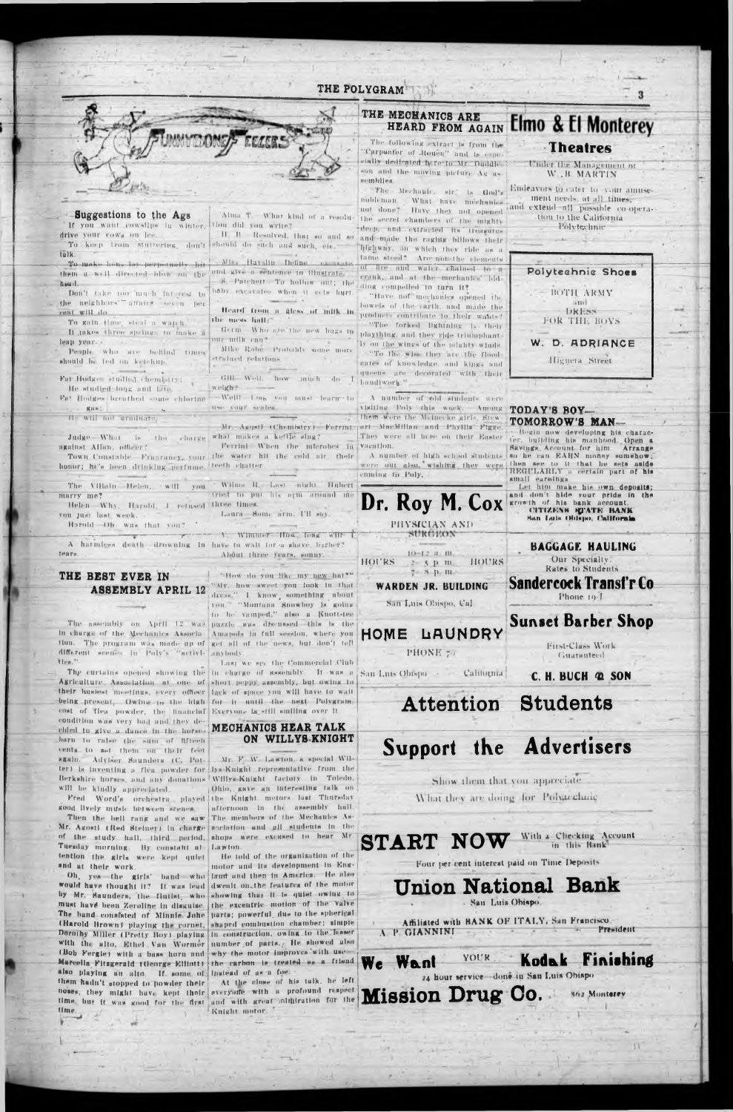### THE POLYGRAM



-Suggestions to the Ags If you want cowslips in winter. drive your cows on lee. To keep from stuffering, don't talk.

To make head by perpetually, hit them a well directed blow on the <sup>land</sup> give a sentence to illustrate. bould.

Don't take too, much interest in the neighbors'" aftairs seven per cant will do.

To guin though stual a warch. It takes three springs to make a leap year. People who are bellind times should be ted on ketchup.

Fat Hodges studied, chemistry;

He studied long and late. Fat Hodges breathed some chlorine RBS). Il: Will not graduate

Judge What is the charge what makes a kettle sing? against Allan, officer?

honor; he's been drinking perfume. teeth chatter. The Villain Helen, will you

marry me? Helen Why, Harold, 4 retused three times. voù just last, week.

Harold Oh, was that you?

A harmless death drowning in have to wait for a shave, Eurber? About three years, sonny. TPATH

#### THE BEST EVER IN **ASSEMBLY APRIL 12**

In charge of the Mechanics Association. The program was made up of get all of the news, but don't tell different scenes in Poly's "netivi-Ntes."

Agriculture Association at one of short peppy assembly, but owing to their husiost meetings, every officer lack of space you will have to wait being present, Owing to the high for it until the next Polygram cost of fies powder, the financial Everyone is still smiling over it condition was very bad and they decided to give a dance in the horsebarn to raise the sum of fifteen cents to set them on their feet again. Adviser Saunders (C. Potwill be kindly appreciated.

Alma T. What kind of a resolution did you write?

should do such and such, ele-Miss Haville Define

A Patchett . To hollow out; the baby excavates when it gets hart.

the mess lially.

Germ Who are the new bugs in our milk can? Mike Robe. Probably some more strained relations.

GHI Well, how much do I weigh? -Wellt Look you must learne to

pression conten-

Ferrini When the interobes in Town Constable Fragrancy, your the water hit the cold air. their

> Wilma R. Last night Hubert tried to put his arm around me

Laura Some arm. I'll say,

V WINDLET HOW LONG WILL

"How do you like my new hat?" "My, how sweet you look in that dress," I know something about you." "Montana Showboy is going to be vamped." also a Knott-tee The assembly on April 12 was puzzle was discussed this is the Amapola in full session, where you Jinvhody

Last we see the Commercial Club The curtains opened showing the in charge of assembly. It was a San Luis Obispo . . California

### MECHANICS HEAR TALK ON WILLYS KNIGHT

Mr. F. W. Lawton, a special Wilter) is inventing a flea powder for bys-Knight representative from the Berkshire horses, and any donations Willys-Knight factory in Toledo. Ohlo, gave an interesting talk on Fred Word's orchestra played the Knight motors last Thursday afternoon in the assembly half.

## THE MECHANICS ARE **HEARD FROM AGAIN Elmo & El Monterey**

The following extract is from the 'Curponter' of Rouen" and is espeelally dedicated here to Mr. Duddle ! son and the moving picture Ag assemblies.

"The Mechanic, sir, is God's nobleman. What have mechanics Have they not opened not done? the secret chambers of the mighty deep, and extracted its' treasures If B. Resolved, that so and so and so and made the raghtg billows their highway, on which they ride as a tume steed? Are not the elements of fire and water chained to a erank, and at the mechanics' hidding compelled to turn it?

"Have not mechanics opened the bowels of the carth, and made the Heard from a Aless of fullk in products contribute to their wants? "The forked lightning is their plaything, and they ride triumphantly on the wings of the pilghty winds. "To the wise they are the flood gates of knowledge, and kings and queens are decorated with their handlwork."

A number of old students were visiting Poly this work. Among TODAY'S BOYthem were the Mainecke girls, Stew-Mr. Asquit (Chemistry) Forrmt part MucMillan and Phyllis Figge They were all here on their Easter vaeation.

> were out also, wishing they were then see to it that he sets aside coming to Poly.



PHONE 70

Attention

Support the Advertisers

Show them that you appreciate What they are doing for Polytechanc



and extend all possible co-operation to the California. Polytechnic



# TOMORROW'S MAN-

Bogin now developing his character, building his manhood Open a vaention.<br>A number of high school students so he can EARN money somehow; 

and don't hide your pride in the growth of his bank account. CITIZENS ETATE BANK San Luis Ohispo, California

> **BAGGAGE HAULING** Our Specialty Rates to Students

Sandercock Transfr Co Phone 19-1



First-Class Work **Guaranteed** 

C. H. BUCH @ SON

**Students** 

kood lively music betwee

Then the hell rang and we saw The members of the Mechanics Asgocintion and all students in the Mr. Agosti (Red Steiner) in charge of the study hall, third period. shops were excused to hear Mr. Tuesday morning. By constant at Lawton. He told of the organization of the tention the girls were kept quiet motor and its development in Engand at their work.

land and then in America. He also Oh, yes the girls' band who would have thought it? If was lead dwealt on, the features of the motor by Mr. Saunders, the flutist, who showing that it is quiet owing to must have been Zeroline in disguise. the excentric motion of the valve The band consisted of Minnie Johe parts; powerful, due to the spherical shaped combustion chamber; simple (Harold Brown) playing the cornet, Dorothy Miller (Pretty Boy) playing in construction, owing to the Jesser with the alto, Ethel Van Wormer number of parts. He showed also (Bob Fergle) with a bass horn and why the motor insproves with use-Marcelin Fitzgerald (George Elliott) the carbon is treated as a friend also playing an alto. If some of instead of as a foe. At the close of his talk, he left them hadn't stopped to powder their noses, they might have kept their everyoffe with a profound respect time, but it was good for the first and with great althiration for the time. Knight motor.

**START** 

With a Checking Account in this Book

Four per cent interest paid on Time Deposits

# **Union National Bank**

- San Luis Ohispo

Affiliated with BANK OF ITALY, San Francisco. President A P GIANNINI

#### Finishing **YOUR Koda**

24 hour service done in San Luis Obispo

Mission Drug Co. 862 Monterey